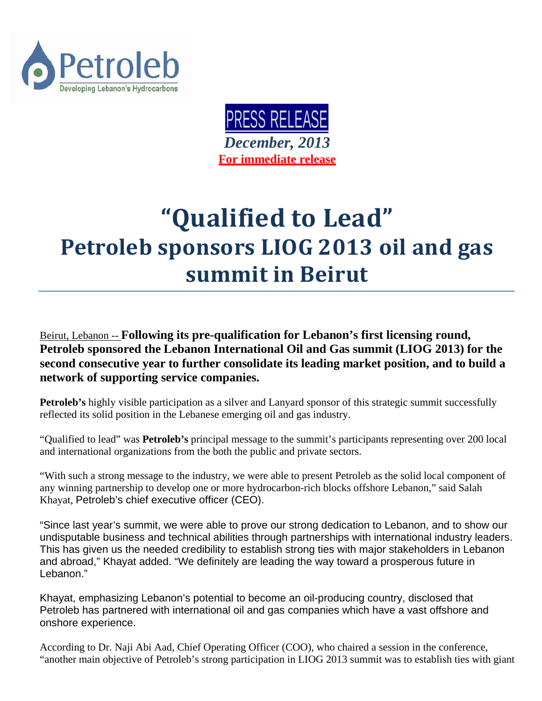



## **"Qualified to Lead" Petroleb sponsors LIOG 2013 oil and gas summit in Beirut**

Beirut, Lebanon -- **Following its pre-qualification for Lebanon's first licensing round, Petroleb sponsored the Lebanon International Oil and Gas summit (LIOG 2013) for the second consecutive year to further consolidate its leading market position, and to build a network of supporting service companies.**

**Petroleb's** highly visible participation as a silver and Lanyard sponsor of this strategic summit successfully reflected its solid position in the Lebanese emerging oil and gas industry.

"Qualified to lead" was **Petroleb's** principal message to the summit's participants representing over 200 local and international organizations from the both the public and private sectors.

"With such a strong message to the industry, we were able to present Petroleb as the solid local component of any winning partnership to develop one or more hydrocarbon-rich blocks offshore Lebanon," said Salah Khayat, Petroleb's chief executive officer (CEO).

"Since last year's summit, we were able to prove our strong dedication to Lebanon, and to show our undisputable business and technical abilities through partnerships with international industry leaders. This has given us the needed credibility to establish strong ties with major stakeholders in Lebanon and abroad," Khayat added. "We definitely are leading the way toward a prosperous future in Lebanon."

Khayat, emphasizing Lebanon's potential to become an oil-producing country, disclosed that Petroleb has partnered with international oil and gas companies which have a vast offshore and onshore experience.

According to Dr. Naji Abi Aad, Chief Operating Officer (COO), who chaired a session in the conference, "another main objective of Petroleb's strong participation in LIOG 2013 summit was to establish ties with giant